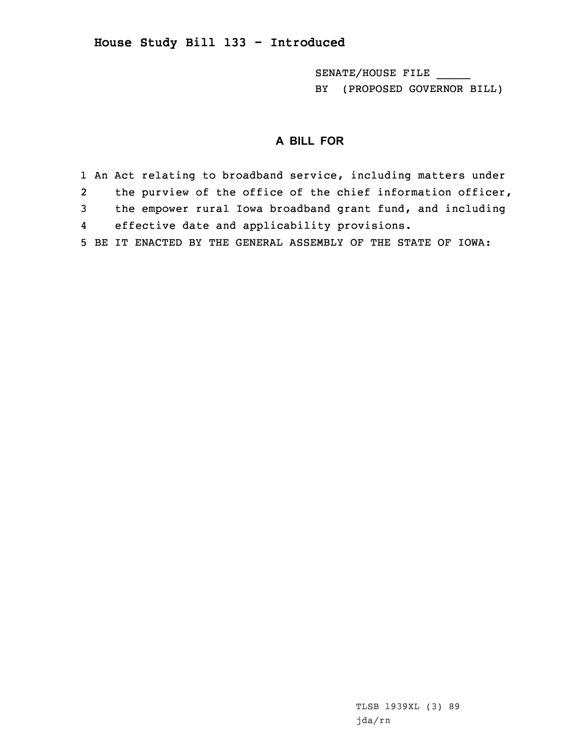## **House Study Bill 133 - Introduced**

SENATE/HOUSE FILE \_\_\_\_\_ BY (PROPOSED GOVERNOR BILL)

## **A BILL FOR**

1 An Act relating to broadband service, including matters under 2 the purview of the office of the chief information officer, 3 the empower rural Iowa broadband grant fund, and including 4 effective date and applicability provisions. 5 BE IT ENACTED BY THE GENERAL ASSEMBLY OF THE STATE OF IOWA: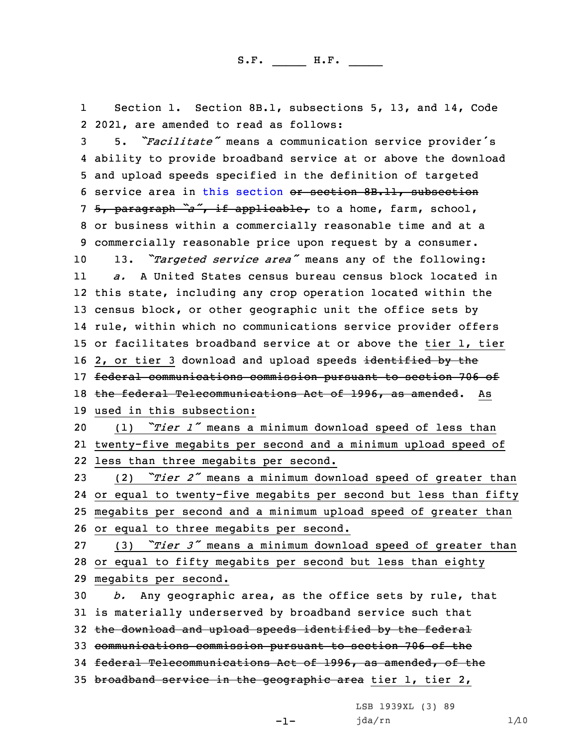1 Section 1. Section 8B.1, subsections 5, 13, and 14, Code 2 2021, are amended to read as follows:

 5. *"Facilitate"* means <sup>a</sup> communication service provider's ability to provide broadband service at or above the download and upload speeds specified in the definition of targeted service area in this [section](https://www.legis.iowa.gov/docs/code/2021/8B.1.pdf) or section 8B.11, subsection 5, paragraph *"a"*, if applicable, to <sup>a</sup> home, farm, school, or business within <sup>a</sup> commercially reasonable time and at <sup>a</sup> commercially reasonable price upon request by <sup>a</sup> consumer. 13. *"Targeted service area"* means any of the following: 11 *a.* A United States census bureau census block located in this state, including any crop operation located within the census block, or other geographic unit the office sets by rule, within which no communications service provider offers or facilitates broadband service at or above the tier 1, tier 16 2, or tier 3 download and upload speeds identified by the federal communications commission pursuant to section 706 of 18 the federal Telecommunications Act of 1996, as amended. As used in this subsection: (1) *"Tier <sup>1</sup>"* means <sup>a</sup> minimum download speed of less than

21 twenty-five megabits per second and <sup>a</sup> minimum upload speed of 22 less than three megabits per second.

 (2) *"Tier <sup>2</sup>"* means <sup>a</sup> minimum download speed of greater than or equal to twenty-five megabits per second but less than fifty megabits per second and <sup>a</sup> minimum upload speed of greater than or equal to three megabits per second.

27 (3) *"Tier <sup>3</sup>"* means <sup>a</sup> minimum download speed of greater than 28 or equal to fifty megabits per second but less than eighty 29 megabits per second.

 *b.* Any geographic area, as the office sets by rule, that is materially underserved by broadband service such that 32 the download and upload speeds identified by the federal communications commission pursuant to section 706 of the federal Telecommunications Act of 1996, as amended, of the 35 broadband service in the geographic area tier 1, tier 2,

-1-

LSB 1939XL (3) 89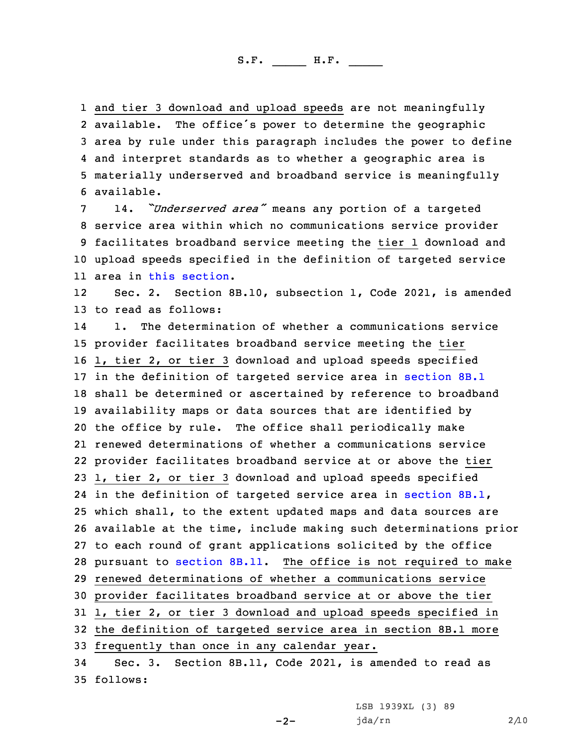and tier 3 download and upload speeds are not meaningfully available. The office's power to determine the geographic area by rule under this paragraph includes the power to define and interpret standards as to whether <sup>a</sup> geographic area is materially underserved and broadband service is meaningfully available.

 14. *"Underserved area"* means any portion of <sup>a</sup> targeted service area within which no communications service provider facilitates broadband service meeting the tier 1 download and upload speeds specified in the definition of targeted service area in this [section](https://www.legis.iowa.gov/docs/code/2021/8B.1.pdf).

12 Sec. 2. Section 8B.10, subsection 1, Code 2021, is amended 13 to read as follows:

14 1. The determination of whether <sup>a</sup> communications service provider facilitates broadband service meeting the tier 1, tier 2, or tier 3 download and upload speeds specified in the definition of targeted service area in [section](https://www.legis.iowa.gov/docs/code/2021/8B.1.pdf) 8B.1 shall be determined or ascertained by reference to broadband availability maps or data sources that are identified by the office by rule. The office shall periodically make renewed determinations of whether <sup>a</sup> communications service provider facilitates broadband service at or above the tier 1, tier 2, or tier 3 download and upload speeds specified 24 in the definition of targeted service area in [section](https://www.legis.iowa.gov/docs/code/2021/8B.1.pdf) 8B.1, which shall, to the extent updated maps and data sources are available at the time, include making such determinations prior to each round of grant applications solicited by the office pursuant to [section](https://www.legis.iowa.gov/docs/code/2021/8B.11.pdf) 8B.11. The office is not required to make renewed determinations of whether <sup>a</sup> communications service provider facilitates broadband service at or above the tier 1, tier 2, or tier 3 download and upload speeds specified in the definition of targeted service area in section 8B.1 more frequently than once in any calendar year. Sec. 3. Section 8B.11, Code 2021, is amended to read as

 $-2-$ 

35 follows:

LSB 1939XL (3) 89 jda/rn 2/10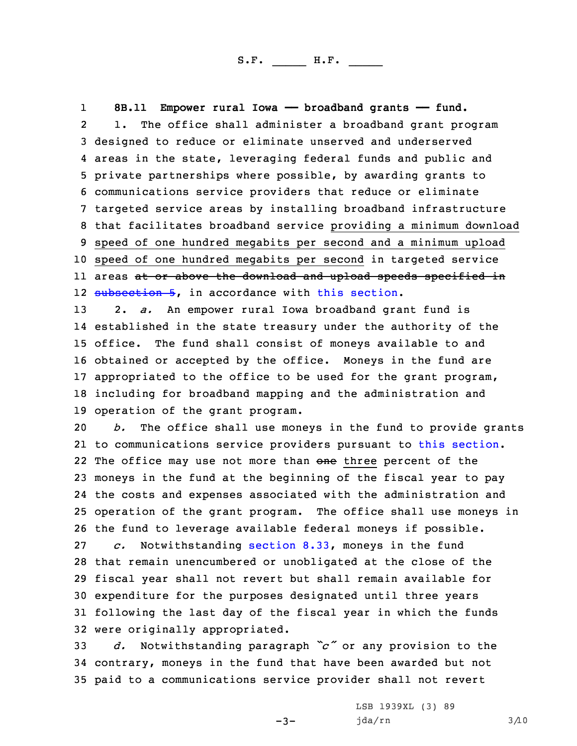1 **8B.11 Empower rural Iowa —— broadband grants —— fund.** 2 1. The office shall administer <sup>a</sup> broadband grant program designed to reduce or eliminate unserved and underserved areas in the state, leveraging federal funds and public and private partnerships where possible, by awarding grants to communications service providers that reduce or eliminate targeted service areas by installing broadband infrastructure that facilitates broadband service providing <sup>a</sup> minimum download speed of one hundred megabits per second and <sup>a</sup> minimum upload speed of one hundred megabits per second in targeted service ll areas <del>at or above the download and upload speeds specified in</del> [subsection](https://www.legis.iowa.gov/docs/code/2021/8B.11.pdf) 5, in accordance with this [section](https://www.legis.iowa.gov/docs/code/2021/8B.11.pdf).

 2. *a.* An empower rural Iowa broadband grant fund is established in the state treasury under the authority of the office. The fund shall consist of moneys available to and obtained or accepted by the office. Moneys in the fund are appropriated to the office to be used for the grant program, including for broadband mapping and the administration and operation of the grant program.

 *b.* The office shall use moneys in the fund to provide grants to communications service providers pursuant to this [section](https://www.legis.iowa.gov/docs/code/2021/8B.11.pdf). 22 The office may use not more than <del>one</del> three percent of the moneys in the fund at the beginning of the fiscal year to pay the costs and expenses associated with the administration and operation of the grant program. The office shall use moneys in the fund to leverage available federal moneys if possible. *c.* Notwithstanding [section](https://www.legis.iowa.gov/docs/code/2021/8.33.pdf) 8.33, moneys in the fund that remain unencumbered or unobligated at the close of the fiscal year shall not revert but shall remain available for expenditure for the purposes designated until three years following the last day of the fiscal year in which the funds were originally appropriated.

<sup>33</sup> *d.* Notwithstanding paragraph *"c"* or any provision to the 34 contrary, moneys in the fund that have been awarded but not 35 paid to <sup>a</sup> communications service provider shall not revert

-3-

LSB 1939XL (3) 89 jda/rn 3/10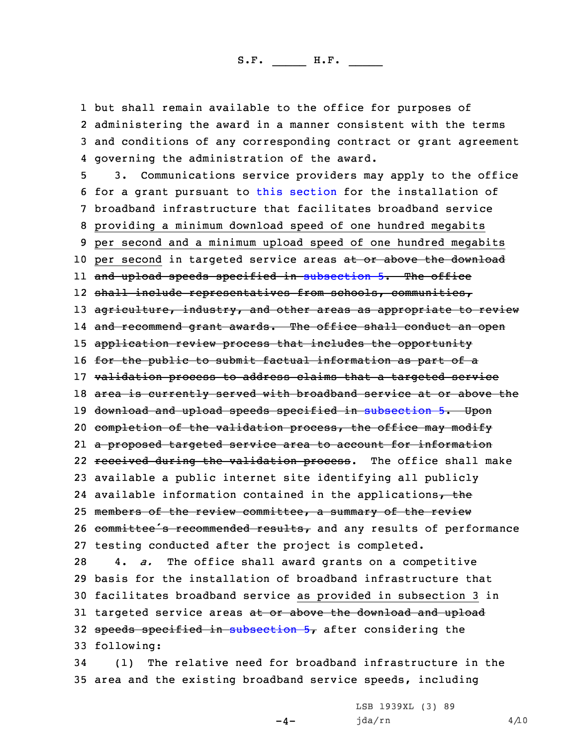but shall remain available to the office for purposes of administering the award in <sup>a</sup> manner consistent with the terms and conditions of any corresponding contract or grant agreement governing the administration of the award.

5 3. Communications service providers may apply to the office 6 for <sup>a</sup> grant pursuant to this [section](https://www.legis.iowa.gov/docs/code/2021/8B.11.pdf) for the installation of 7 broadband infrastructure that facilitates broadband service 8 providing <sup>a</sup> minimum download speed of one hundred megabits 9 per second and <sup>a</sup> minimum upload speed of one hundred megabits 10 per second in targeted service areas at or above the download 11 and upload speeds specified in [subsection](https://www.legis.iowa.gov/docs/code/2021/8B.11.pdf) 5. The office 12 shall include representatives from schools, communities, 13 agriculture, industry, and other areas as appropriate to review 14 and recommend grant awards. The office shall conduct an open 15 application review process that includes the opportunity 16 for the public to submit factual information as part of a 17 validation process to address claims that a targeted service 18 area is currently served with broadband service at or above the 19 download and upload speeds specified in [subsection](https://www.legis.iowa.gov/docs/code/2021/8B.11.pdf) 5. Upon 20 completion of the validation process, the office may modify 21 <sup>a</sup> proposed targeted service area to account for information 22 received during the validation process. The office shall make 23 available <sup>a</sup> public internet site identifying all publicly 24 available information contained in the applications, the 25 members of the review committee, <sup>a</sup> summary of the review 26 committee's recommended results, and any results of performance 27 testing conducted after the project is completed. 28 4. *a.* The office shall award grants on <sup>a</sup> competitive 29 basis for the installation of broadband infrastructure that 30 facilitates broadband service as provided in subsection 3 in 31 targeted service areas at or above the download and upload 32 speeds specified in [subsection](https://www.legis.iowa.gov/docs/code/2021/8B.11.pdf) 5, after considering the 33 following:

34 (1) The relative need for broadband infrastructure in the 35 area and the existing broadband service speeds, including

 $-4-$ 

LSB 1939XL (3) 89  $jda/rn$  4/10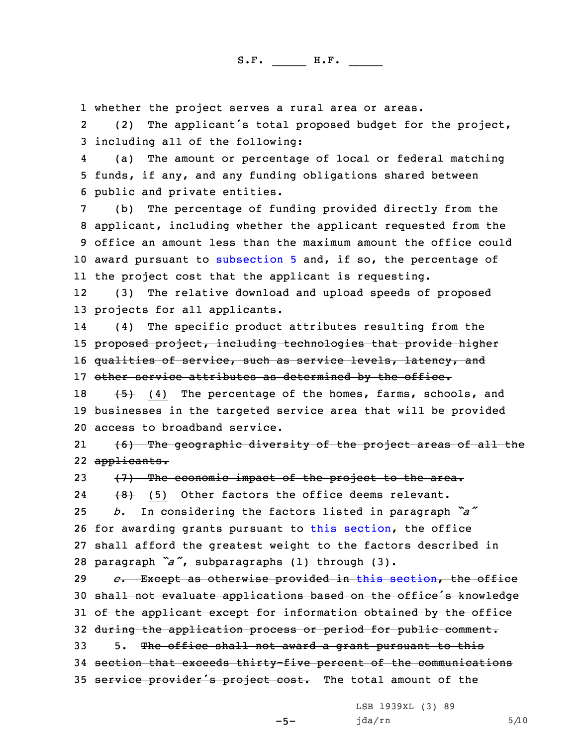1 whether the project serves <sup>a</sup> rural area or areas.

2 (2) The applicant's total proposed budget for the project, 3 including all of the following:

4 (a) The amount or percentage of local or federal matching 5 funds, if any, and any funding obligations shared between 6 public and private entities.

 (b) The percentage of funding provided directly from the applicant, including whether the applicant requested from the office an amount less than the maximum amount the office could 10 award pursuant to [subsection](https://www.legis.iowa.gov/docs/code/2021/8B.11.pdf) 5 and, if so, the percentage of the project cost that the applicant is requesting.

12 (3) The relative download and upload speeds of proposed 13 projects for all applicants.

14 (4) The specific product attributes resulting from the 15 proposed project, including technologies that provide higher 16 qualities of service, such as service levels, latency, and 17 other service attributes as determined by the office.

18  $(5)$  (4) The percentage of the homes, farms, schools, and 19 businesses in the targeted service area that will be provided 20 access to broadband service.

21 (6) The geographic diversity of the project areas of all the 22 applicants.

23  $(7)$  The economic impact of the project to the area.

24 $\{8\}$  (5) Other factors the office deems relevant.

 *b.* In considering the factors listed in paragraph *"a"* for awarding grants pursuant to this [section](https://www.legis.iowa.gov/docs/code/2021/8B.11.pdf), the office shall afford the greatest weight to the factors described in paragraph *"a"*, subparagraphs (1) through (3).

29 *c.* Except as otherwise provided in this [section](https://www.legis.iowa.gov/docs/code/2021/8B.11.pdf), the office 30 shall not evaluate applications based on the office's knowledge 31 of the applicant except for information obtained by the office 32 during the application process or period for public comment. 33 5. The office shall not award a grant pursuant to this 34 section that exceeds thirty-five percent of the communications

35 service provider's project cost. The total amount of the

-5-

LSB 1939XL (3) 89  $jda/rn$  5/10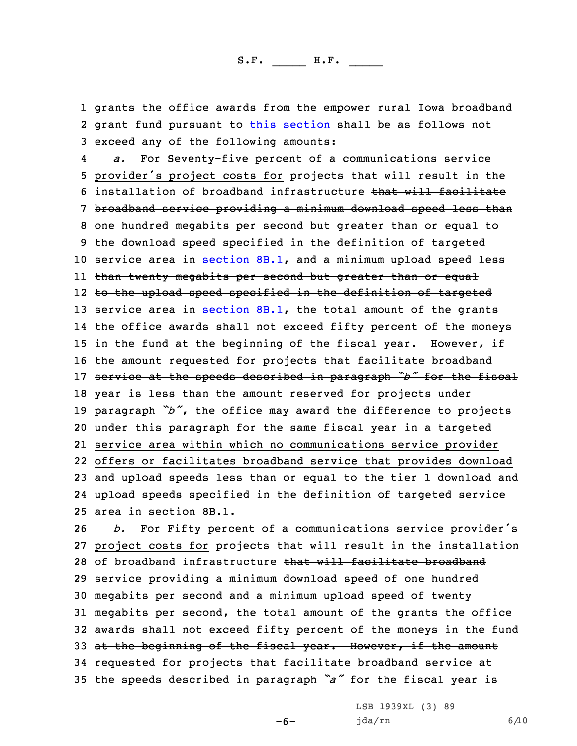1 grants the office awards from the empower rural Iowa broadband 2 grant fund pursuant to this [section](https://www.legis.iowa.gov/docs/code/2021/8B.11.pdf) shall <del>be as follows</del> not 3 exceed any of the following amounts:

4 *a.* For Seventy-five percent of <sup>a</sup> communications service <sup>5</sup> provider's project costs for projects that will result in the 6 installation of broadband infrastructure that will facilitate 7 broadband service providing <sup>a</sup> minimum download speed less than 8 one hundred megabits per second but greater than or equal to 9 the download speed specified in the definition of targeted 10 service area in [section](https://www.legis.iowa.gov/docs/code/2021/8B.1.pdf) 8B.1, and a minimum upload speed less 11 than twenty megabits per second but greater than or equal 12 <del>to the upload speed specified in the definition of targeted</del> 13 service area in [section](https://www.legis.iowa.gov/docs/code/2021/8B.1.pdf) 8B.1, the total amount of the grants 14 the office awards shall not exceed fifty percent of the moneys 15 in the fund at the beginning of the fiscal year. However, if 16 the amount requested for projects that facilitate broadband <sup>17</sup> service at the speeds described in paragraph *"b"* for the fiscal 18 year is less than the amount reserved for projects under <sup>19</sup> paragraph *"b"*, the office may award the difference to projects 20 under this paragraph for the same fiscal year in a targeted 21 service area within which no communications service provider 22 offers or facilitates broadband service that provides download 23 and upload speeds less than or equal to the tier 1 download and 24 upload speeds specified in the definition of targeted service 25 area in section 8B.1.

<sup>26</sup> *b.* For Fifty percent of <sup>a</sup> communications service provider's 27 project costs for projects that will result in the installation 28 of broadband infrastructure that will facilitate broadband 29 service providing <sup>a</sup> minimum download speed of one hundred 30 megabits per second and <sup>a</sup> minimum upload speed of twenty 31 megabits per second, the total amount of the grants the office 32 awards shall not exceed fifty percent of the moneys in the fund 33 at the beginning of the fiscal year. However, if the amount 34 requested for projects that facilitate broadband service at <sup>35</sup> the speeds described in paragraph *"a"* for the fiscal year is

LSB 1939XL (3) 89

-6-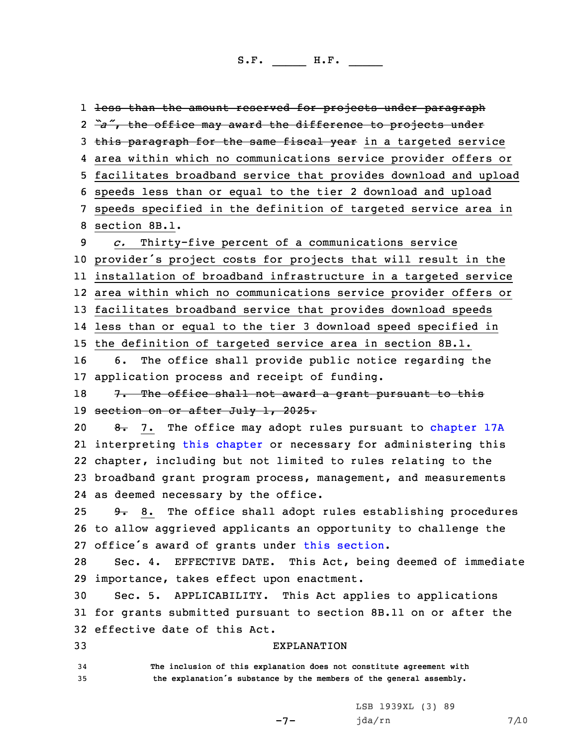1 <del>less than the amount reserved for projects under paragraph</del> *"a"*, the office may award the difference to projects under 3 this paragraph for the same fiscal year in a targeted service area within which no communications service provider offers or facilitates broadband service that provides download and upload speeds less than or equal to the tier 2 download and upload speeds specified in the definition of targeted service area in section 8B.1. *c.* Thirty-five percent of <sup>a</sup> communications service provider's project costs for projects that will result in the installation of broadband infrastructure in <sup>a</sup> targeted service area within which no communications service provider offers or facilitates broadband service that provides download speeds less than or equal to the tier 3 download speed specified in the definition of targeted service area in section 8B.1. 6. The office shall provide public notice regarding the application process and receipt of funding. 18 7. The office shall not award a grant pursuant to this 19 section on or after July 1, 2025.  $\theta$ . 7. The office may adopt rules pursuant to [chapter](https://www.legis.iowa.gov/docs/code/2021/17A.pdf) 17A interpreting this [chapter](https://www.legis.iowa.gov/docs/code/2021/8B.pdf) or necessary for administering this chapter, including but not limited to rules relating to the broadband grant program process, management, and measurements as deemed necessary by the office.  $9.8$ . The office shall adopt rules establishing procedures to allow aggrieved applicants an opportunity to challenge the office's award of grants under this [section](https://www.legis.iowa.gov/docs/code/2021/8B.11.pdf). Sec. 4. EFFECTIVE DATE. This Act, being deemed of immediate importance, takes effect upon enactment. Sec. 5. APPLICABILITY. This Act applies to applications for grants submitted pursuant to section 8B.11 on or after the effective date of this Act. EXPLANATION **The inclusion of this explanation does not constitute agreement with the explanation's substance by the members of the general assembly.**

-7-

LSB 1939XL (3) 89 jda/rn 7/10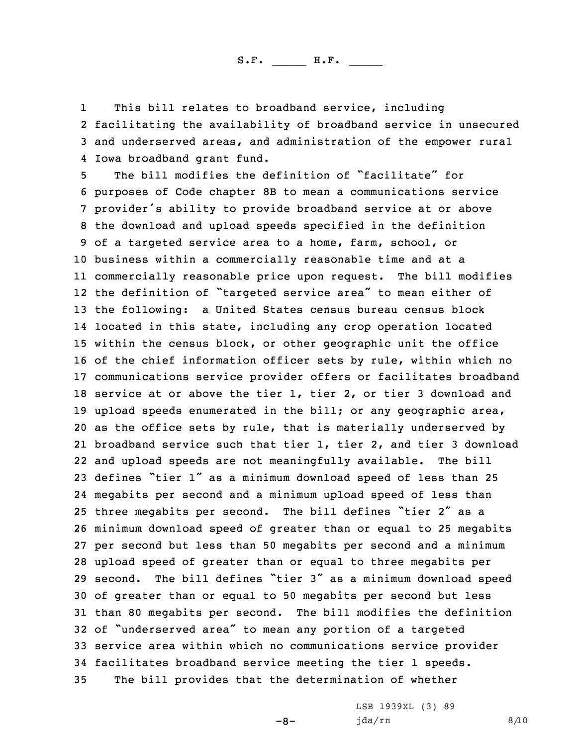1 This bill relates to broadband service, including 2 facilitating the availability of broadband service in unsecured 3 and underserved areas, and administration of the empower rural 4 Iowa broadband grant fund.

 The bill modifies the definition of "facilitate" for purposes of Code chapter 8B to mean <sup>a</sup> communications service provider's ability to provide broadband service at or above the download and upload speeds specified in the definition of <sup>a</sup> targeted service area to <sup>a</sup> home, farm, school, or business within <sup>a</sup> commercially reasonable time and at <sup>a</sup> commercially reasonable price upon request. The bill modifies the definition of "targeted service area" to mean either of the following: <sup>a</sup> United States census bureau census block located in this state, including any crop operation located within the census block, or other geographic unit the office of the chief information officer sets by rule, within which no communications service provider offers or facilitates broadband service at or above the tier 1, tier 2, or tier 3 download and upload speeds enumerated in the bill; or any geographic area, as the office sets by rule, that is materially underserved by broadband service such that tier 1, tier 2, and tier 3 download and upload speeds are not meaningfully available. The bill defines "tier <sup>1</sup>" as <sup>a</sup> minimum download speed of less than <sup>25</sup> megabits per second and <sup>a</sup> minimum upload speed of less than three megabits per second. The bill defines "tier <sup>2</sup>" as <sup>a</sup> minimum download speed of greater than or equal to 25 megabits per second but less than 50 megabits per second and <sup>a</sup> minimum upload speed of greater than or equal to three megabits per second. The bill defines "tier <sup>3</sup>" as <sup>a</sup> minimum download speed of greater than or equal to 50 megabits per second but less than 80 megabits per second. The bill modifies the definition of "underserved area" to mean any portion of <sup>a</sup> targeted service area within which no communications service provider facilitates broadband service meeting the tier 1 speeds. The bill provides that the determination of whether

 $-8-$ 

LSB 1939XL (3) 89 jda/rn 8/10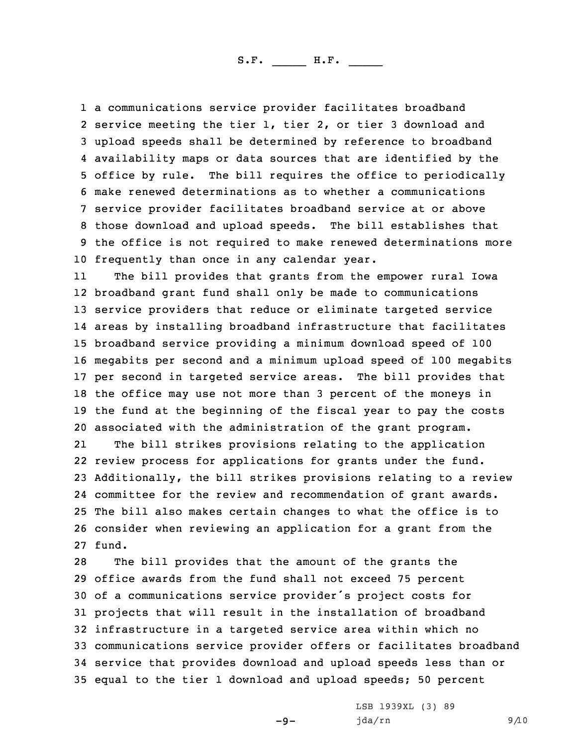<sup>a</sup> communications service provider facilitates broadband service meeting the tier 1, tier 2, or tier 3 download and upload speeds shall be determined by reference to broadband availability maps or data sources that are identified by the office by rule. The bill requires the office to periodically make renewed determinations as to whether <sup>a</sup> communications service provider facilitates broadband service at or above those download and upload speeds. The bill establishes that the office is not required to make renewed determinations more frequently than once in any calendar year.

11 The bill provides that grants from the empower rural Iowa broadband grant fund shall only be made to communications service providers that reduce or eliminate targeted service areas by installing broadband infrastructure that facilitates broadband service providing <sup>a</sup> minimum download speed of 100 megabits per second and <sup>a</sup> minimum upload speed of 100 megabits per second in targeted service areas. The bill provides that the office may use not more than 3 percent of the moneys in the fund at the beginning of the fiscal year to pay the costs associated with the administration of the grant program.

21 The bill strikes provisions relating to the application review process for applications for grants under the fund. Additionally, the bill strikes provisions relating to <sup>a</sup> review committee for the review and recommendation of grant awards. The bill also makes certain changes to what the office is to consider when reviewing an application for <sup>a</sup> grant from the 27 fund.

 The bill provides that the amount of the grants the office awards from the fund shall not exceed 75 percent of <sup>a</sup> communications service provider's project costs for projects that will result in the installation of broadband infrastructure in <sup>a</sup> targeted service area within which no communications service provider offers or facilitates broadband service that provides download and upload speeds less than or equal to the tier 1 download and upload speeds; 50 percent

 $-9-$ 

LSB 1939XL (3) 89 jda/rn 9/10